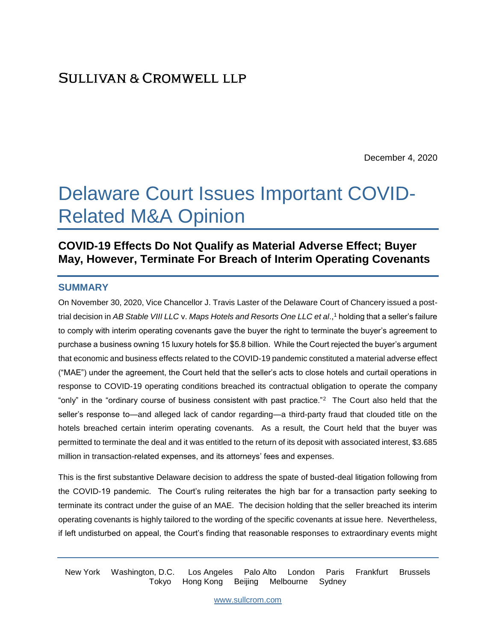December 4, 2020

# Delaware Court Issues Important COVID-Related M&A Opinion

## **COVID-19 Effects Do Not Qualify as Material Adverse Effect; Buyer May, However, Terminate For Breach of Interim Operating Covenants**

#### **SUMMARY**

On November 30, 2020, Vice Chancellor J. Travis Laster of the Delaware Court of Chancery issued a posttrial decision in *AB Stable VIII LLC* v. *Maps Hotels and Resorts One LLC et al*., <sup>1</sup> holding that a seller's failure to comply with interim operating covenants gave the buyer the right to terminate the buyer's agreement to purchase a business owning 15 luxury hotels for \$5.8 billion. While the Court rejected the buyer's argument that economic and business effects related to the COVID-19 pandemic constituted a material adverse effect ("MAE") under the agreement, the Court held that the seller's acts to close hotels and curtail operations in response to COVID-19 operating conditions breached its contractual obligation to operate the company "only" in the "ordinary course of business consistent with past practice."<sup>2</sup> The Court also held that the seller's response to—and alleged lack of candor regarding—a third-party fraud that clouded title on the hotels breached certain interim operating covenants. As a result, the Court held that the buyer was permitted to terminate the deal and it was entitled to the return of its deposit with associated interest, \$3.685 million in transaction-related expenses, and its attorneys' fees and expenses.

This is the first substantive Delaware decision to address the spate of busted-deal litigation following from the COVID-19 pandemic. The Court's ruling reiterates the high bar for a transaction party seeking to terminate its contract under the guise of an MAE. The decision holding that the seller breached its interim operating covenants is highly tailored to the wording of the specific covenants at issue here. Nevertheless, if left undisturbed on appeal, the Court's finding that reasonable responses to extraordinary events might

New York Washington, D.C. Los Angeles Palo Alto London Paris Frankfurt Brussels Tokyo Hong Kong Beijing Melbourne Sydney

[www.sullcrom.com](http://www.sullcrom.com/)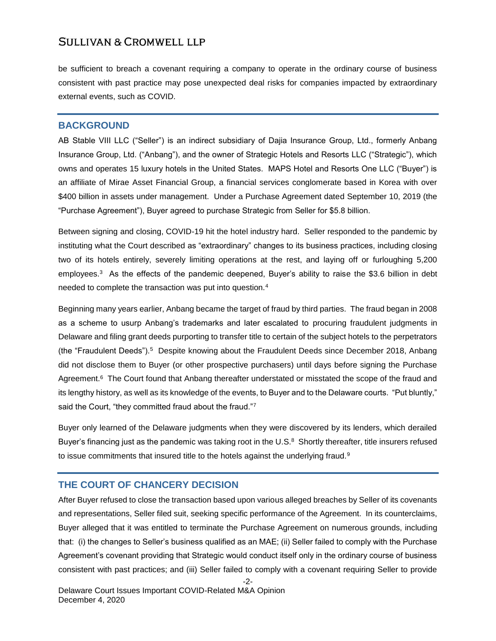be sufficient to breach a covenant requiring a company to operate in the ordinary course of business consistent with past practice may pose unexpected deal risks for companies impacted by extraordinary external events, such as COVID.

#### **BACKGROUND**

AB Stable VIII LLC ("Seller") is an indirect subsidiary of Dajia Insurance Group, Ltd., formerly Anbang Insurance Group, Ltd. ("Anbang"), and the owner of Strategic Hotels and Resorts LLC ("Strategic"), which owns and operates 15 luxury hotels in the United States. MAPS Hotel and Resorts One LLC ("Buyer") is an affiliate of Mirae Asset Financial Group, a financial services conglomerate based in Korea with over \$400 billion in assets under management. Under a Purchase Agreement dated September 10, 2019 (the "Purchase Agreement"), Buyer agreed to purchase Strategic from Seller for \$5.8 billion.

Between signing and closing, COVID-19 hit the hotel industry hard. Seller responded to the pandemic by instituting what the Court described as "extraordinary" changes to its business practices, including closing two of its hotels entirely, severely limiting operations at the rest, and laying off or furloughing 5,200 employees.<sup>3</sup> As the effects of the pandemic deepened, Buyer's ability to raise the \$3.6 billion in debt needed to complete the transaction was put into question.<sup>4</sup>

Beginning many years earlier, Anbang became the target of fraud by third parties. The fraud began in 2008 as a scheme to usurp Anbang's trademarks and later escalated to procuring fraudulent judgments in Delaware and filing grant deeds purporting to transfer title to certain of the subject hotels to the perpetrators (the "Fraudulent Deeds").<sup>5</sup> Despite knowing about the Fraudulent Deeds since December 2018, Anbang did not disclose them to Buyer (or other prospective purchasers) until days before signing the Purchase Agreement.<sup>6</sup> The Court found that Anbang thereafter understated or misstated the scope of the fraud and its lengthy history, as well as its knowledge of the events, to Buyer and to the Delaware courts. "Put bluntly," said the Court, "they committed fraud about the fraud."7

Buyer only learned of the Delaware judgments when they were discovered by its lenders, which derailed Buyer's financing just as the pandemic was taking root in the U.S. $8$  Shortly thereafter, title insurers refused to issue commitments that insured title to the hotels against the underlying fraud.<sup>9</sup>

#### **THE COURT OF CHANCERY DECISION**

After Buyer refused to close the transaction based upon various alleged breaches by Seller of its covenants and representations, Seller filed suit, seeking specific performance of the Agreement. In its counterclaims, Buyer alleged that it was entitled to terminate the Purchase Agreement on numerous grounds, including that: (i) the changes to Seller's business qualified as an MAE; (ii) Seller failed to comply with the Purchase Agreement's covenant providing that Strategic would conduct itself only in the ordinary course of business consistent with past practices; and (iii) Seller failed to comply with a covenant requiring Seller to provide

-2-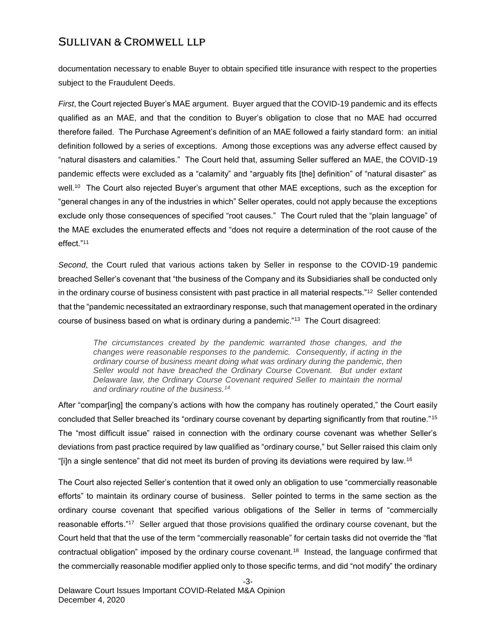documentation necessary to enable Buyer to obtain specified title insurance with respect to the properties subject to the Fraudulent Deeds.

*First*, the Court rejected Buyer's MAE argument. Buyer argued that the COVID-19 pandemic and its effects qualified as an MAE, and that the condition to Buyer's obligation to close that no MAE had occurred therefore failed. The Purchase Agreement's definition of an MAE followed a fairly standard form: an initial definition followed by a series of exceptions. Among those exceptions was any adverse effect caused by "natural disasters and calamities." The Court held that, assuming Seller suffered an MAE, the COVID-19 pandemic effects were excluded as a "calamity" and "arguably fits [the] definition" of "natural disaster" as well.<sup>10</sup> The Court also rejected Buyer's argument that other MAE exceptions, such as the exception for "general changes in any of the industries in which" Seller operates, could not apply because the exceptions exclude only those consequences of specified "root causes." The Court ruled that the "plain language" of the MAE excludes the enumerated effects and "does not require a determination of the root cause of the effect."<sup>11</sup>

*Second*, the Court ruled that various actions taken by Seller in response to the COVID-19 pandemic breached Seller's covenant that "the business of the Company and its Subsidiaries shall be conducted only in the ordinary course of business consistent with past practice in all material respects."<sup>12</sup> Seller contended that the "pandemic necessitated an extraordinary response, such that management operated in the ordinary course of business based on what is ordinary during a pandemic."<sup>13</sup> The Court disagreed:

*The circumstances created by the pandemic warranted those changes, and the changes were reasonable responses to the pandemic. Consequently, if acting in the ordinary course of business meant doing what was ordinary during the pandemic, then*  Seller would not have breached the Ordinary Course Covenant. But under extant *Delaware law, the Ordinary Course Covenant required Seller to maintain the normal and ordinary routine of the business.<sup>14</sup>*

After "compar[ing] the company's actions with how the company has routinely operated," the Court easily concluded that Seller breached its "ordinary course covenant by departing significantly from that routine."<sup>15</sup> The "most difficult issue" raised in connection with the ordinary course covenant was whether Seller's deviations from past practice required by law qualified as "ordinary course," but Seller raised this claim only "[i]n a single sentence" that did not meet its burden of proving its deviations were required by law.<sup>16</sup>

The Court also rejected Seller's contention that it owed only an obligation to use "commercially reasonable efforts" to maintain its ordinary course of business. Seller pointed to terms in the same section as the ordinary course covenant that specified various obligations of the Seller in terms of "commercially reasonable efforts."<sup>17</sup> Seller argued that those provisions qualified the ordinary course covenant, but the Court held that that the use of the term "commercially reasonable" for certain tasks did not override the "flat contractual obligation" imposed by the ordinary course covenant.<sup>18</sup> Instead, the language confirmed that the commercially reasonable modifier applied only to those specific terms, and did "not modify" the ordinary

-3-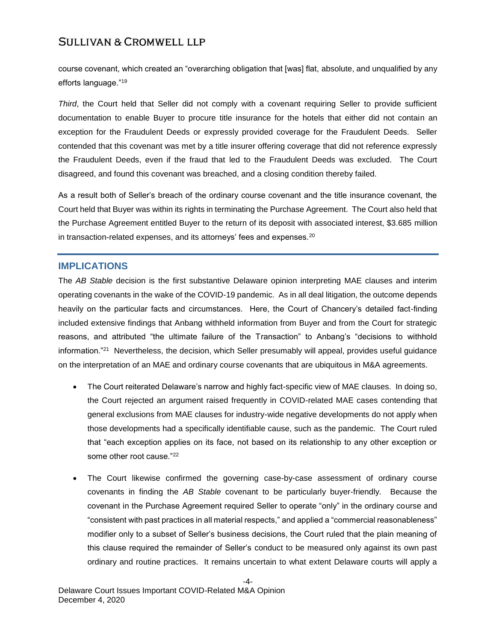course covenant, which created an "overarching obligation that [was] flat, absolute, and unqualified by any efforts language."<sup>19</sup>

*Third*, the Court held that Seller did not comply with a covenant requiring Seller to provide sufficient documentation to enable Buyer to procure title insurance for the hotels that either did not contain an exception for the Fraudulent Deeds or expressly provided coverage for the Fraudulent Deeds. Seller contended that this covenant was met by a title insurer offering coverage that did not reference expressly the Fraudulent Deeds, even if the fraud that led to the Fraudulent Deeds was excluded. The Court disagreed, and found this covenant was breached, and a closing condition thereby failed.

As a result both of Seller's breach of the ordinary course covenant and the title insurance covenant, the Court held that Buyer was within its rights in terminating the Purchase Agreement. The Court also held that the Purchase Agreement entitled Buyer to the return of its deposit with associated interest, \$3.685 million in transaction-related expenses, and its attorneys' fees and expenses.<sup>20</sup>

#### **IMPLICATIONS**

The *AB Stable* decision is the first substantive Delaware opinion interpreting MAE clauses and interim operating covenants in the wake of the COVID-19 pandemic. As in all deal litigation, the outcome depends heavily on the particular facts and circumstances. Here, the Court of Chancery's detailed fact-finding included extensive findings that Anbang withheld information from Buyer and from the Court for strategic reasons, and attributed "the ultimate failure of the Transaction" to Anbang's "decisions to withhold information."<sup>21</sup> Nevertheless, the decision, which Seller presumably will appeal, provides useful guidance on the interpretation of an MAE and ordinary course covenants that are ubiquitous in M&A agreements.

- The Court reiterated Delaware's narrow and highly fact-specific view of MAE clauses. In doing so, the Court rejected an argument raised frequently in COVID-related MAE cases contending that general exclusions from MAE clauses for industry-wide negative developments do not apply when those developments had a specifically identifiable cause, such as the pandemic. The Court ruled that "each exception applies on its face, not based on its relationship to any other exception or some other root cause."<sup>22</sup>
- The Court likewise confirmed the governing case-by-case assessment of ordinary course covenants in finding the *AB Stable* covenant to be particularly buyer-friendly. Because the covenant in the Purchase Agreement required Seller to operate "only" in the ordinary course and "consistent with past practices in all material respects," and applied a "commercial reasonableness" modifier only to a subset of Seller's business decisions, the Court ruled that the plain meaning of this clause required the remainder of Seller's conduct to be measured only against its own past ordinary and routine practices. It remains uncertain to what extent Delaware courts will apply a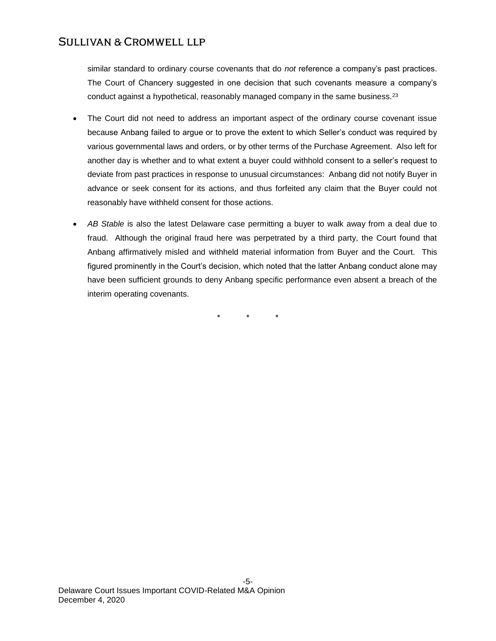similar standard to ordinary course covenants that do *not* reference a company's past practices. The Court of Chancery suggested in one decision that such covenants measure a company's conduct against a hypothetical, reasonably managed company in the same business.<sup>23</sup>

- The Court did not need to address an important aspect of the ordinary course covenant issue because Anbang failed to argue or to prove the extent to which Seller's conduct was required by various governmental laws and orders, or by other terms of the Purchase Agreement. Also left for another day is whether and to what extent a buyer could withhold consent to a seller's request to deviate from past practices in response to unusual circumstances: Anbang did not notify Buyer in advance or seek consent for its actions, and thus forfeited any claim that the Buyer could not reasonably have withheld consent for those actions.
- *AB Stable* is also the latest Delaware case permitting a buyer to walk away from a deal due to fraud. Although the original fraud here was perpetrated by a third party, the Court found that Anbang affirmatively misled and withheld material information from Buyer and the Court. This figured prominently in the Court's decision, which noted that the latter Anbang conduct alone may have been sufficient grounds to deny Anbang specific performance even absent a breach of the interim operating covenants.

\* \* \*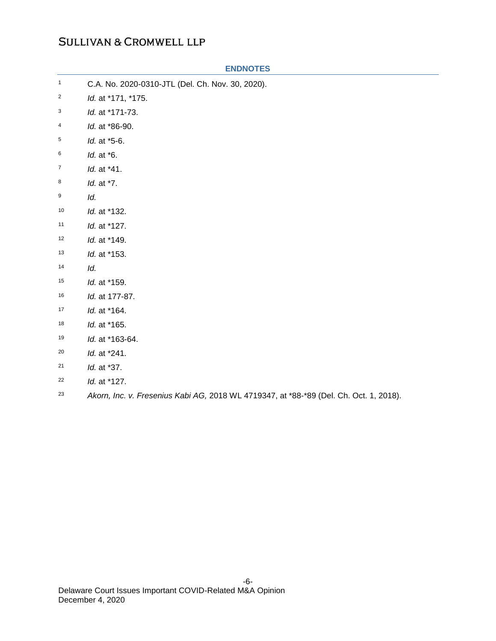| $\mathbf{1}$            | C.A. No. 2020-0310-JTL (Del. Ch. Nov. 30, 2020). |
|-------------------------|--------------------------------------------------|
| $\overline{\mathbf{c}}$ | Id. at *171, *175.                               |
| 3                       | Id. at *171-73.                                  |
| 4                       | Id. at *86-90.                                   |
| 5                       | ld. at *5-6.                                     |
| 6                       | <i>ld.</i> at *6.                                |
| $\overline{7}$          | Id. at *41.                                      |
| 8                       | Id. at *7.                                       |
| 9                       | ld.                                              |
| 10                      | Id. at *132.                                     |
| 11                      | Id. at *127.                                     |
| 12                      | Id. at *149.                                     |
| 13                      | Id. at *153.                                     |
| 14                      | Id.                                              |
| 15                      | Id. at *159.                                     |
| 16                      | Id. at 177-87.                                   |
| 17                      | Id. at *164.                                     |
| 18                      | Id. at *165.                                     |
| 19                      | Id. at *163-64.                                  |
| 20                      | Id. at *241.                                     |
| 21                      | Id. at *37.                                      |
| 22                      | Id. at *127.                                     |

#### **ENDNOTES**

*Akorn, Inc. v. Fresenius Kabi AG,* 2018 WL 4719347, at \*88-\*89 (Del. Ch. Oct. 1, 2018).